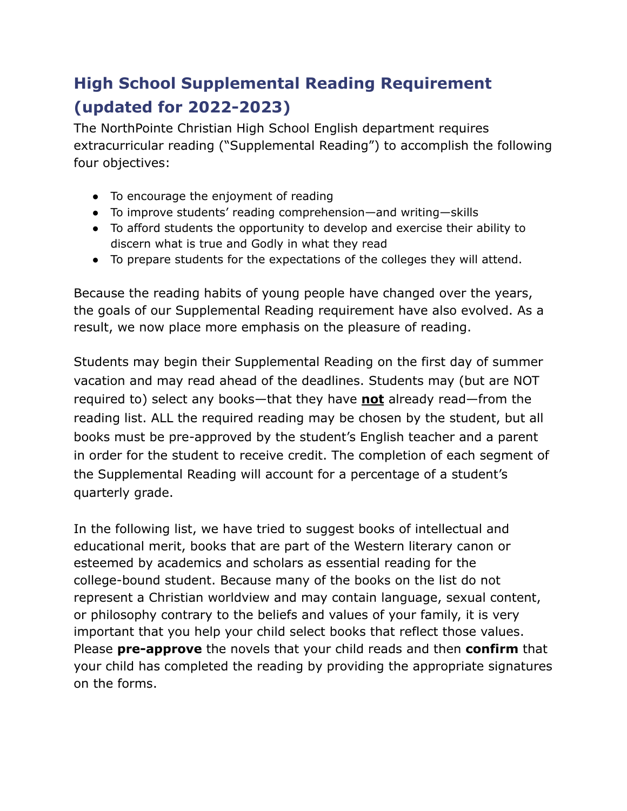# **High School Supplemental Reading Requirement (updated for 2022-2023)**

The NorthPointe Christian High School English department requires extracurricular reading ("Supplemental Reading") to accomplish the following four objectives:

- To encourage the enjoyment of reading
- To improve students' reading comprehension—and writing—skills
- To afford students the opportunity to develop and exercise their ability to discern what is true and Godly in what they read
- To prepare students for the expectations of the colleges they will attend.

Because the reading habits of young people have changed over the years, the goals of our Supplemental Reading requirement have also evolved. As a result, we now place more emphasis on the pleasure of reading.

Students may begin their Supplemental Reading on the first day of summer vacation and may read ahead of the deadlines. Students may (but are NOT required to) select any books—that they have **not** already read—from the reading list. ALL the required reading may be chosen by the student, but all books must be pre-approved by the student's English teacher and a parent in order for the student to receive credit. The completion of each segment of the Supplemental Reading will account for a percentage of a student's quarterly grade.

In the following list, we have tried to suggest books of intellectual and educational merit, books that are part of the Western literary canon or esteemed by academics and scholars as essential reading for the college-bound student. Because many of the books on the list do not represent a Christian worldview and may contain language, sexual content, or philosophy contrary to the beliefs and values of your family, it is very important that you help your child select books that reflect those values. Please **pre-approve** the novels that your child reads and then **confirm** that your child has completed the reading by providing the appropriate signatures on the forms.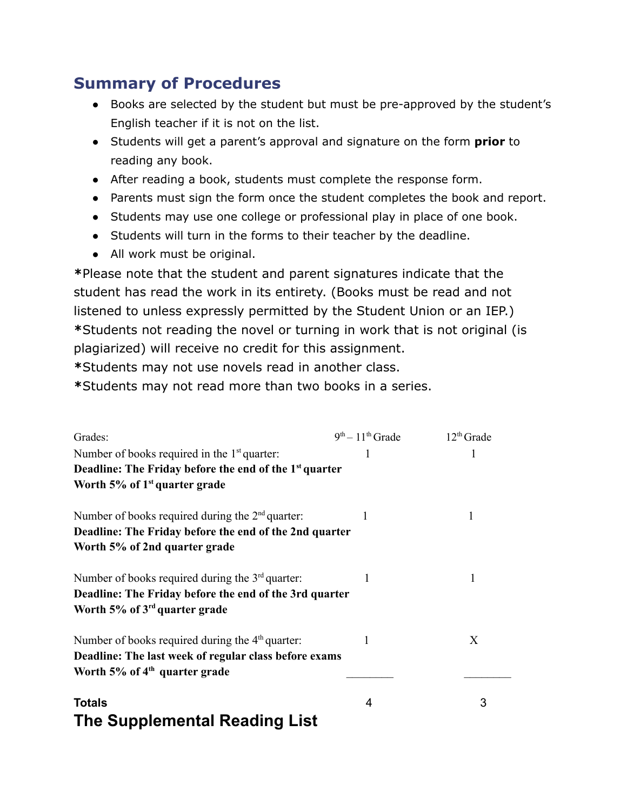## **Summary of Procedures**

- Books are selected by the student but must be pre-approved by the student's English teacher if it is not on the list.
- Students will get a parent's approval and signature on the form **prior** to reading any book.
- After reading a book, students must complete the response form.
- Parents must sign the form once the student completes the book and report.
- Students may use one college or professional play in place of one book.
- Students will turn in the forms to their teacher by the deadline.
- All work must be original.

**\***Please note that the student and parent signatures indicate that the student has read the work in its entirety. (Books must be read and not listened to unless expressly permitted by the Student Union or an IEP.) **\***Students not reading the novel or turning in work that is not original (is plagiarized) will receive no credit for this assignment.

**\***Students may not use novels read in another class.

**\***Students may not read more than two books in a series.

| Grades:                                                                                                                                                   | $9th - 11th$ Grade | $12th$ Grade |
|-----------------------------------------------------------------------------------------------------------------------------------------------------------|--------------------|--------------|
| Number of books required in the $1st$ quarter:                                                                                                            | 1                  |              |
| Deadline: The Friday before the end of the 1 <sup>st</sup> quarter                                                                                        |                    |              |
| Worth $5\%$ of 1 <sup>st</sup> quarter grade                                                                                                              |                    |              |
| Number of books required during the $2nd$ quarter:<br>Deadline: The Friday before the end of the 2nd quarter<br>Worth 5% of 2nd quarter grade             |                    |              |
| Number of books required during the $3rd$ quarter:<br>Deadline: The Friday before the end of the 3rd quarter<br>Worth 5% of 3 <sup>rd</sup> quarter grade |                    |              |
| Number of books required during the $4th$ quarter:<br>Deadline: The last week of regular class before exams<br>Worth 5% of 4 <sup>th</sup> quarter grade  |                    | X            |
| <b>Totals</b><br>The Supplemental Reading List                                                                                                            | 4                  | 3            |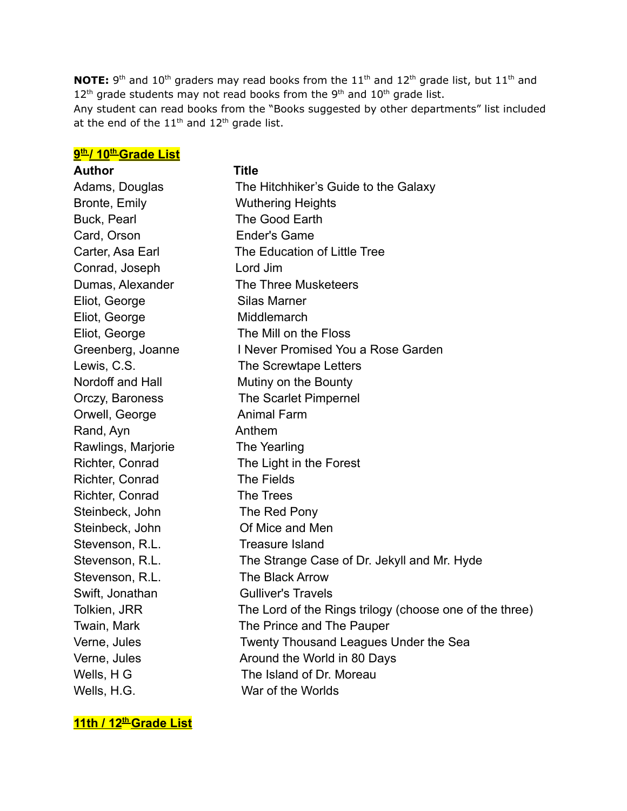**NOTE:** 9<sup>th</sup> and 10<sup>th</sup> graders may read books from the 11<sup>th</sup> and 12<sup>th</sup> grade list, but 11<sup>th</sup> and  $12<sup>th</sup>$  grade students may not read books from the 9<sup>th</sup> and  $10<sup>th</sup>$  grade list. Any student can read books from the "Books suggested by other departments" list included at the end of the  $11<sup>th</sup>$  and  $12<sup>th</sup>$  grade list.

| 9th/10th Grade List |                                                         |
|---------------------|---------------------------------------------------------|
| <b>Author</b>       | <b>Title</b>                                            |
| Adams, Douglas      | The Hitchhiker's Guide to the Galaxy                    |
| Bronte, Emily       | <b>Wuthering Heights</b>                                |
| Buck, Pearl         | The Good Earth                                          |
| Card, Orson         | <b>Ender's Game</b>                                     |
| Carter, Asa Earl    | The Education of Little Tree                            |
| Conrad, Joseph      | Lord Jim                                                |
| Dumas, Alexander    | The Three Musketeers                                    |
| Eliot, George       | <b>Silas Marner</b>                                     |
| Eliot, George       | Middlemarch                                             |
| Eliot, George       | The Mill on the Floss                                   |
| Greenberg, Joanne   | I Never Promised You a Rose Garden                      |
| Lewis, C.S.         | The Screwtape Letters                                   |
| Nordoff and Hall    | Mutiny on the Bounty                                    |
| Orczy, Baroness     | The Scarlet Pimpernel                                   |
| Orwell, George      | <b>Animal Farm</b>                                      |
| Rand, Ayn           | Anthem                                                  |
| Rawlings, Marjorie  | The Yearling                                            |
| Richter, Conrad     | The Light in the Forest                                 |
| Richter, Conrad     | The Fields                                              |
| Richter, Conrad     | The Trees                                               |
| Steinbeck, John     | The Red Pony                                            |
| Steinbeck, John     | Of Mice and Men                                         |
| Stevenson, R.L.     | <b>Treasure Island</b>                                  |
| Stevenson, R.L.     | The Strange Case of Dr. Jekyll and Mr. Hyde             |
| Stevenson, R.L.     | The Black Arrow                                         |
| Swift, Jonathan     | <b>Gulliver's Travels</b>                               |
| Tolkien, JRR        | The Lord of the Rings trilogy (choose one of the three) |
| Twain, Mark         | The Prince and The Pauper                               |
| Verne, Jules        | Twenty Thousand Leagues Under the Sea                   |
| Verne, Jules        | Around the World in 80 Days                             |
| Wells, H G          | The Island of Dr. Moreau                                |
| Wells, H.G.         | War of the Worlds                                       |

**11th / 12th Grade List**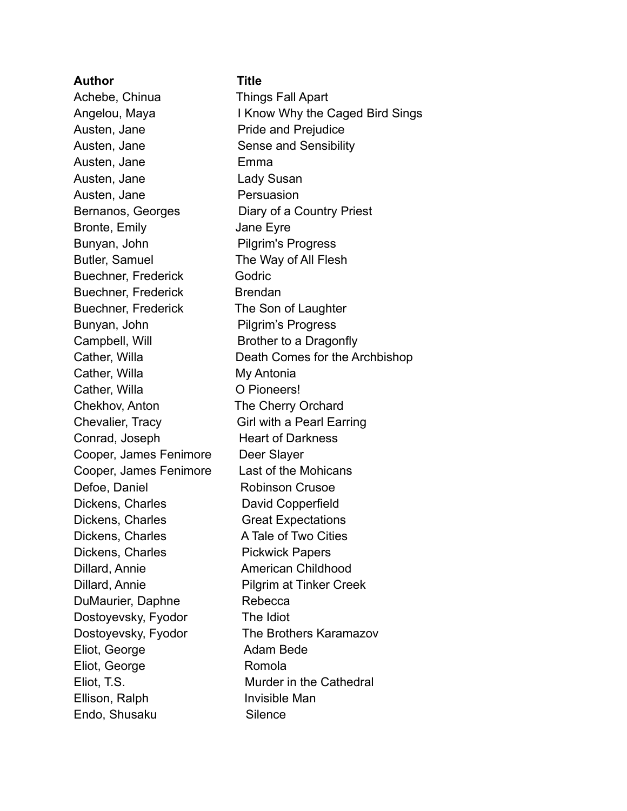| <b>Author</b>              | <b>Title</b>                    |
|----------------------------|---------------------------------|
| Achebe, Chinua             | <b>Things Fall Apart</b>        |
| Angelou, Maya              | I Know Why the Caged Bird Sings |
| Austen, Jane               | <b>Pride and Prejudice</b>      |
| Austen, Jane               | <b>Sense and Sensibility</b>    |
| Austen, Jane               | Emma                            |
| Austen, Jane               | Lady Susan                      |
| Austen, Jane               | Persuasion                      |
| Bernanos, Georges          | Diary of a Country Priest       |
| Bronte, Emily              | Jane Eyre                       |
| Bunyan, John               | <b>Pilgrim's Progress</b>       |
| Butler, Samuel             | The Way of All Flesh            |
| <b>Buechner, Frederick</b> | Godric                          |
| <b>Buechner, Frederick</b> | <b>Brendan</b>                  |
| <b>Buechner, Frederick</b> | The Son of Laughter             |
| Bunyan, John               | <b>Pilgrim's Progress</b>       |
| Campbell, Will             | Brother to a Dragonfly          |
| Cather, Willa              | Death Comes for the Archbishop  |
| Cather, Willa              | My Antonia                      |
| Cather, Willa              | O Pioneers!                     |
| Chekhov, Anton             | The Cherry Orchard              |
| Chevalier, Tracy           | Girl with a Pearl Earring       |
| Conrad, Joseph             | <b>Heart of Darkness</b>        |
| Cooper, James Fenimore     | Deer Slayer                     |
| Cooper, James Fenimore     | Last of the Mohicans            |
| Defoe, Daniel              | <b>Robinson Crusoe</b>          |
| Dickens, Charles           | David Copperfield               |
| Dickens, Charles           | <b>Great Expectations</b>       |
| Dickens, Charles           | A Tale of Two Cities            |
| Dickens, Charles           | <b>Pickwick Papers</b>          |
| Dillard, Annie             | <b>American Childhood</b>       |
| Dillard, Annie             | <b>Pilgrim at Tinker Creek</b>  |
| DuMaurier, Daphne          | Rebecca                         |
| Dostoyevsky, Fyodor        | The Idiot                       |
| Dostoyevsky, Fyodor        | The Brothers Karamazov          |
| Eliot, George              | Adam Bede                       |
| Eliot, George              | Romola                          |
| Eliot, T.S.                | Murder in the Cathedral         |
| Ellison, Ralph             | Invisible Man                   |
| Endo, Shusaku              | Silence                         |
|                            |                                 |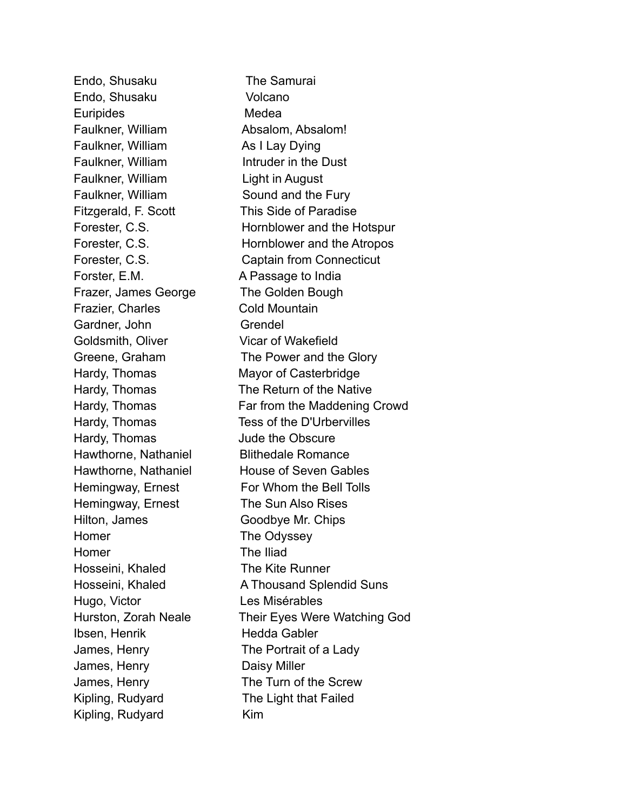Endo, Shusaku The Samurai Endo, Shusaku Volcano Euripides Medea Faulkner, William **Absalom, Absalom!** Faulkner, William As I Lay Dying Faulkner, William Intruder in the Dust Faulkner, William Light in August Faulkner, William Sound and the Fury Fitzgerald, F. Scott This Side of Paradise Forster, E.M. A Passage to India Frazer, James George The Golden Bough Frazier, Charles Cold Mountain Gardner, John Grendel Goldsmith, Oliver Vicar of Wakefield Hardy, Thomas Mayor of Casterbridge Hardy, Thomas Tess of the D'Urbervilles Hardy, Thomas Jude the Obscure Hawthorne, Nathaniel Blithedale Romance Hawthorne, Nathaniel House of Seven Gables Hemingway, Ernest For Whom the Bell Tolls Hemingway, Ernest The Sun Also Rises Hilton, James Goodbye Mr. Chips Homer The Odyssey Homer The Iliad Hosseini, Khaled The Kite Runner Hugo, Victor Les Misérables Ibsen, Henrik Hedda Gabler James, Henry The Portrait of a Lady James, Henry Daisy Miller James, Henry The Turn of the Screw Kipling, Rudyard The Light that Failed Kipling, Rudyard Kim

Forester, C.S. **Hornblower** and the Hotspur Forester, C.S. Hornblower and the Atropos Forester, C.S. Captain from Connecticut Greene, Graham The Power and the Glory Hardy, Thomas The Return of the Native Hardy, Thomas **Far from the Maddening Crowd** Hosseini, Khaled **A Thousand Splendid Suns** Hurston, Zorah Neale Their Eyes Were Watching God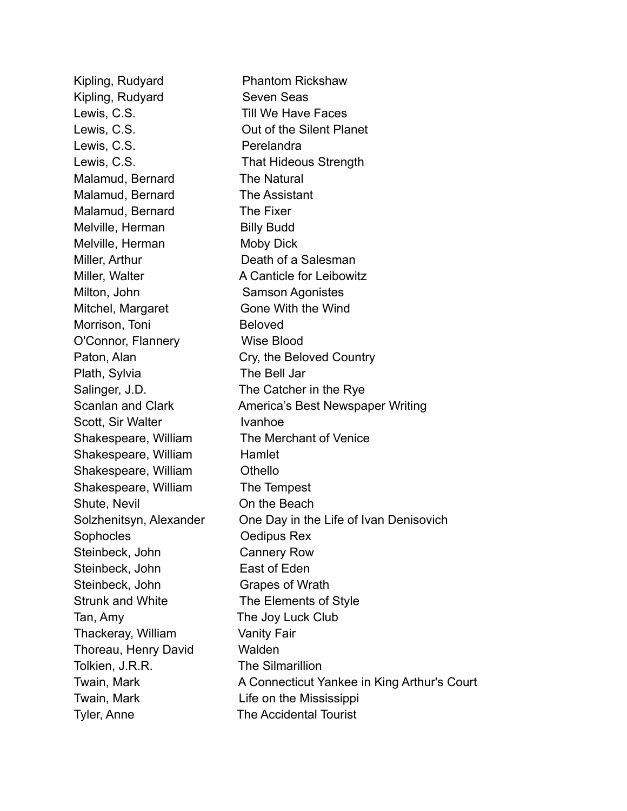Kipling, Rudyard Phantom Rickshaw Kipling, Rudyard Seven Seas Lewis, C.S. Till We Have Faces Lewis, C.S. Out of the Silent Planet Lewis, C.S. Perelandra Lewis, C.S. That Hideous Strength Malamud, Bernard The Natural Malamud, Bernard The Assistant Malamud, Bernard The Fixer Melville, Herman Billy Budd Melville, Herman Moby Dick Miller, Arthur **Death of a Salesman** Miller, Walter **A Canticle for Leibowitz** Milton, John Samson Agonistes Mitchel, Margaret **Gone With the Wind** Morrison, Toni Beloved O'Connor, Flannery Wise Blood Paton, Alan Cry, the Beloved Country Plath, Sylvia The Bell Jar Salinger, J.D. The Catcher in the Rye Scanlan and Clark **America's Best Newspaper Writing** Scott, Sir Walter **Ivanhoe** Shakespeare, William The Merchant of Venice Shakespeare, William Hamlet Shakespeare, William Othello Shakespeare, William The Tempest Shute, Nevil **Contract Contract Contract Contract Contract Contract Contract Contract Contract Contract Contract Contract Contract Contract Contract Contract Contract Contract Contract Contract Contract Contract Contract C** Solzhenitsyn, Alexander One Day in the Life of Ivan Denisovich Sophocles **Oedipus Rex** Steinbeck, John Cannery Row Steinbeck, John East of Eden Steinbeck, John Grapes of Wrath Strunk and White The Elements of Style Tan, Amy The Joy Luck Club Thackeray, William Vanity Fair Thoreau, Henry David Walden Tolkien, J.R.R. The Silmarillion Twain, Mark **A Connecticut Yankee in King Arthur's Court** Twain, Mark **Life on the Mississippi** Tyler, Anne The Accidental Tourist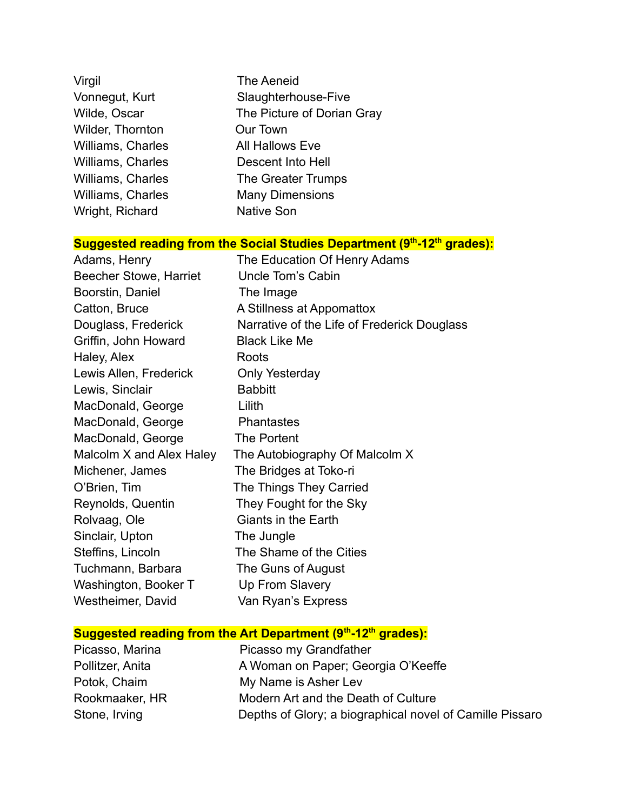| Virgil                   | The Aeneid                 |
|--------------------------|----------------------------|
| Vonnegut, Kurt           | Slaughterhouse-Five        |
| Wilde, Oscar             | The Picture of Dorian Gray |
| Wilder, Thornton         | Our Town                   |
| <b>Williams, Charles</b> | All Hallows Eve            |
| <b>Williams, Charles</b> | Descent Into Hell          |
| <b>Williams, Charles</b> | The Greater Trumps         |
| <b>Williams, Charles</b> | <b>Many Dimensions</b>     |
| Wright, Richard          | <b>Native Son</b>          |

#### **Suggested reading from the Social Studies Department (9th -12th grades):**

| Adams, Henry                  | The Education Of Henry Adams                |
|-------------------------------|---------------------------------------------|
| <b>Beecher Stowe, Harriet</b> | Uncle Tom's Cabin                           |
| Boorstin, Daniel              | The Image                                   |
| Catton, Bruce                 | A Stillness at Appomattox                   |
| Douglass, Frederick           | Narrative of the Life of Frederick Douglass |
| Griffin, John Howard          | <b>Black Like Me</b>                        |
| Haley, Alex                   | Roots                                       |
| Lewis Allen, Frederick        | Only Yesterday                              |
| Lewis, Sinclair               | <b>Babbitt</b>                              |
| MacDonald, George             | Lilith                                      |
| MacDonald, George             | <b>Phantastes</b>                           |
| MacDonald, George             | The Portent                                 |
| Malcolm X and Alex Haley      | The Autobiography Of Malcolm X              |
| Michener, James               | The Bridges at Toko-ri                      |
| O'Brien, Tim                  | The Things They Carried                     |
| Reynolds, Quentin             | They Fought for the Sky                     |
| Rolvaag, Ole                  | Giants in the Earth                         |
| Sinclair, Upton               | The Jungle                                  |
| Steffins, Lincoln             | The Shame of the Cities                     |
| Tuchmann, Barbara             | The Guns of August                          |
| Washington, Booker T          | Up From Slavery                             |
| Westheimer, David             | Van Ryan's Express                          |

#### **Suggested reading from the Art Department (9th -12th grades):**

| Picasso, Marina  | Picasso my Grandfather                                   |
|------------------|----------------------------------------------------------|
| Pollitzer, Anita | A Woman on Paper; Georgia O'Keeffe                       |
| Potok, Chaim     | My Name is Asher Lev                                     |
| Rookmaaker, HR   | Modern Art and the Death of Culture                      |
| Stone, Irving    | Depths of Glory; a biographical novel of Camille Pissaro |